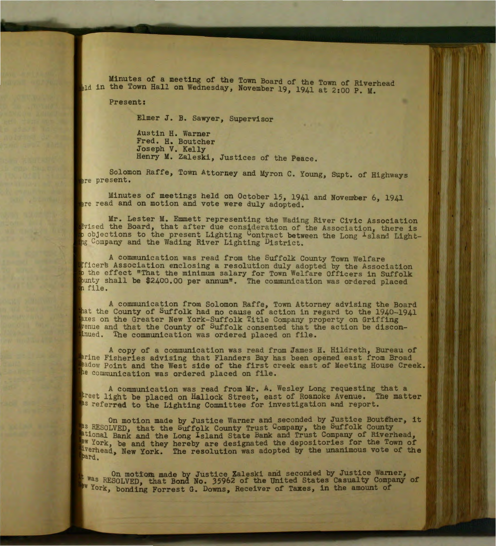Minutes of a meeting of the Town Board of the Town of Riverhead ald in the Town Hall on Wednesday, November 19, 1941 at 2:00 P. M.

Present:

Elmer *J.* B. Sawyer, Supervisor

Austin H. Warner Fred. H. Boutcher Joseph V. Kelly Henry M. Zaleski, Justices of the Peace.

Solomon Raffe, Town Attorney and Myron C. Young, Supt. of Highways ere present.

Minutes of meetings held on October 15, 1941 and November 6, 1941 ere read and on motion and vote were duly adopted.

Mr. Lester M. Emmett representing the Wading River Civic Association divised the Board, that after due consideration of the Association, there is to objections to the present Lighting Contract between the Long <sup>1</sup>sland Light-<br>Ing Company and the Wading River Lighting District.

A communication was read from the Suffolk County Town Welfare icers Association enclosing a resolution duly adopted by the Association the effect "That the minimum salary for Town Welfare Officers in Suffolk nty shall be \$2400.00 per annum". The communication was ordered placed file.

A communication from Solomon Raffe, Town Attorney advising the Board that the County of Suffolk had no cause of action in regard to the  $1940-1941$ taxes on the Greater New York-Suffolk Title Company property on Griffing yenue and that the County of Suffolk consented that the action be discondinued. The communication was ordered placed on file.

A copy of a communication was read from James H. Hildreth, Bureau of arine Fisheries advising that Flanders Bay has been opened east from Broad Padow Point and the West side of the first creek east of Meeting House Creek. he communication was ordered placed on file.

A communication was read from Mr. A. Wesley Long requesting that a treet light be placed on Hallock Street, east of Roanoke Avenue. The matter as referred to the Lighting Committee for investigation and report.

On motion made by Justice Warner and seconded by Justice Boutfher, it As RESOLVED, that the Suffolk County Trust Company, the Suffolk County ational Bank and the Long Island State Bank and Trust Company of Riverhead, York, be and they hereby are designated the depositories for the Town of rhead, New York. The resolution was adopted by the unanimous vote of the bard.

On motion made by Justice Zaleski and seconded by Justice Warner, Was RESOLVED, that Bond No. 35962 of the United States Casualty Company of W York, bonding Forrest G. Downs, Receiver of Taxes, in the amount of